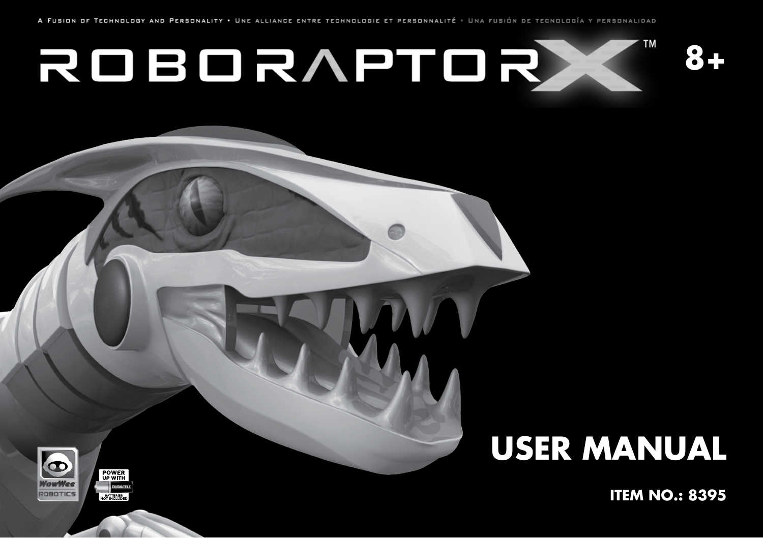ROBORAPTORX



## **USER MANUAL**

**ITEM NO.: 8395** 

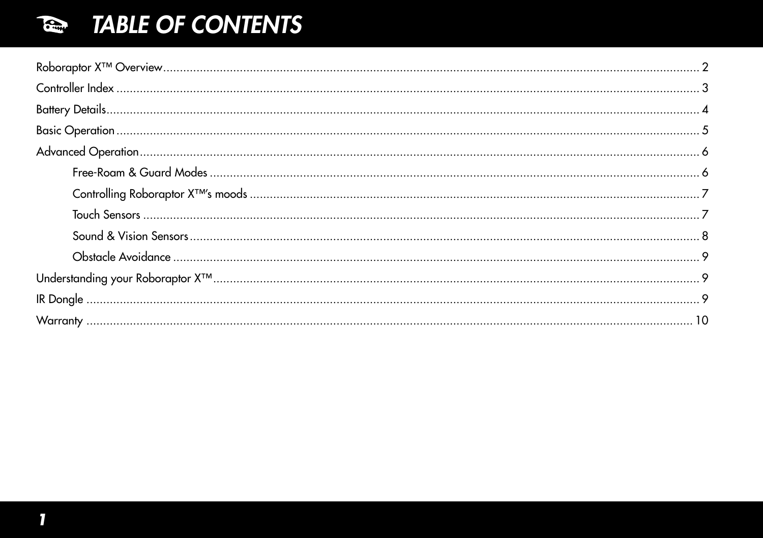## TABLE OF CONTENTS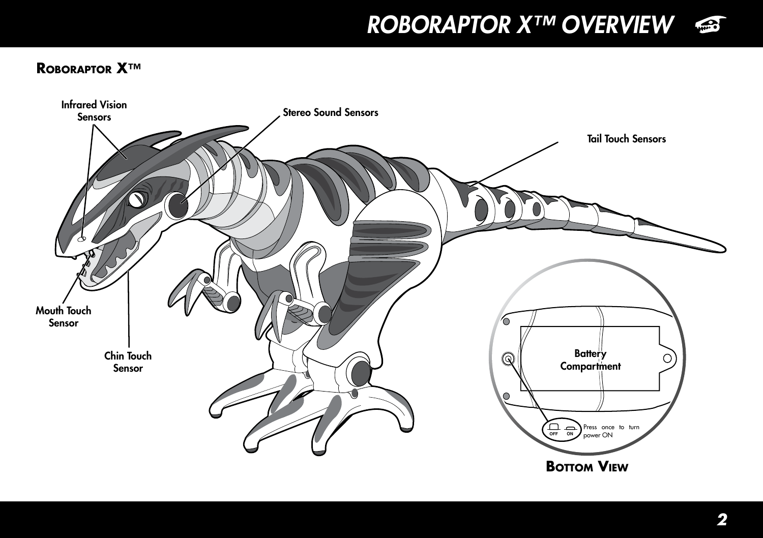*ROBORAPTOR X™ OVERVIEW*



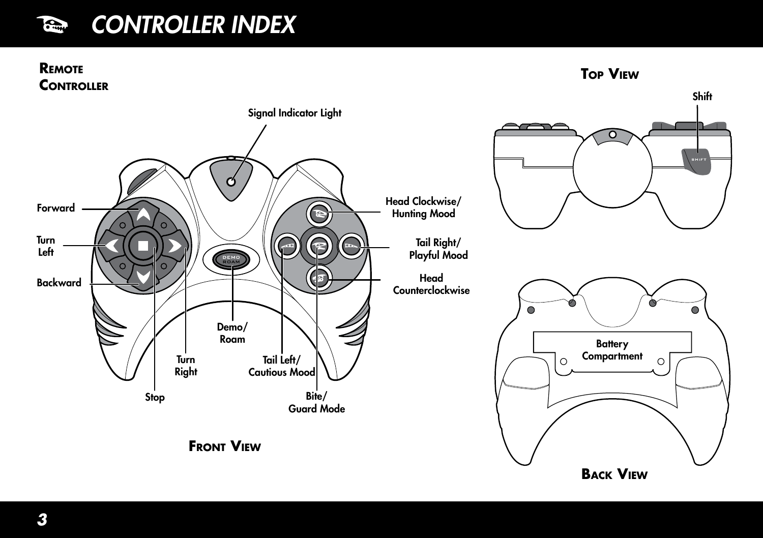#### *CONTROLLER INDEX* County

#### **Remote CONTROLLER**

**Top View**

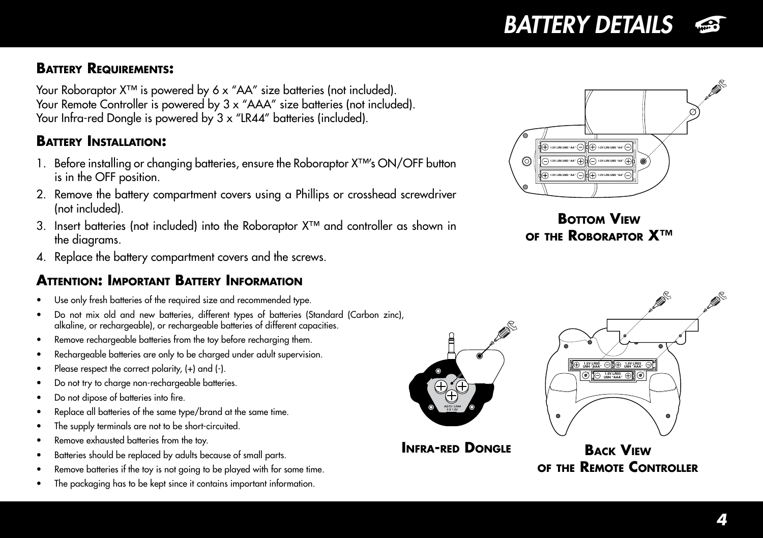## *BATTERY DETAILS*

### **Battery Requirements:**

Your Roboraptor X™ is powered by 6 x "AA" size batteries (not included). Your Remote Controller is powered by 3 x "AAA" size batteries (not included). Your Infra-red Dongle is powered by 3 x "LR44" batteries (included).

#### **Battery Installation:**

- 1. Before installing or changing batteries, ensure the Roboraptor X™'s ON/OFF button is in the OFF position.
- 2. Remove the battery compartment covers using a Phillips or crosshead screwdriver (not included).
- 3. Insert batteries (not included) into the Roboraptor X™ and controller as shown in the diagrams.
- 4. Replace the battery compartment covers and the screws.

#### **Attention: Important Battery Information**

- Use only fresh batteries of the required size and recommended type.
- Do not mix old and new batteries, different types of batteries (Standard (Carbon zinc), alkaline, or rechargeable), or rechargeable batteries of different capacities.
- Remove rechargeable batteries from the toy before recharging them.
- Rechargeable batteries are only to be charged under adult supervision.
- Please respect the correct polarity,  $(+)$  and  $(-)$ .
- Do not try to charge non-rechargeable batteries.
- Do not dipose of batteries into fire.
- Replace all batteries of the same type/brand at the same time.
- The supply terminals are not to be short-circuited.
- Remove exhausted batteries from the toy.
- Batteries should be replaced by adults because of small parts.
- Remove batteries if the toy is not going to be played with for some time.
- The packaging has to be kept since it contains important information.







**Infra-red Dongle**



**Back View of the Remote Controller**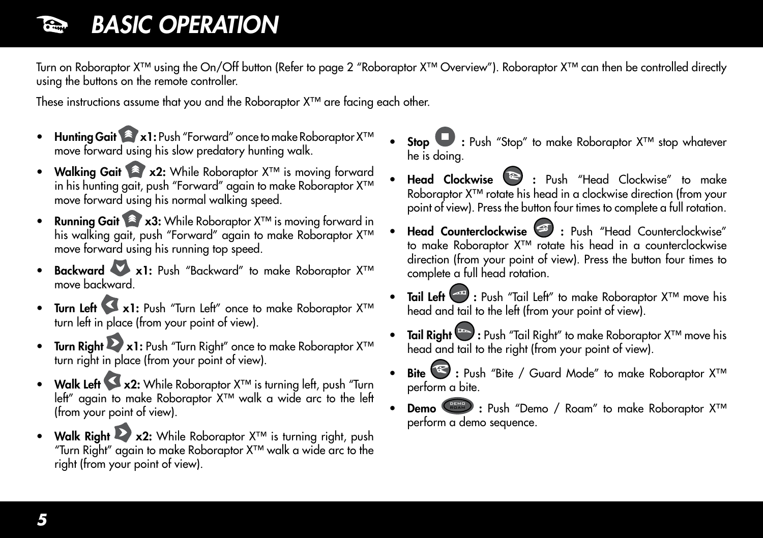## *BASIC OPERATION*

Turn on Roboraptor X™ using the On/Off button (Refer to page 2 "Roboraptor X™ Overview"). Roboraptor X™ can then be controlled directly using the buttons on the remote controller.

These instructions assume that you and the Roboraptor X™ are facing each other.

- Hunting Gait <sup>2</sup> x1: Push "Forward" once to make Roboraptor X<sup>™</sup> move forward using his slow predatory hunting walk.
- Walking Gait <sup>2</sup> x2: While Roboraptor X<sup>™</sup> is moving forward in his hunting gait, push "Forward" again to make Roboraptor X™ move forward using his normal walking speed.
- Running Gait <sup>2</sup> x3: While Roboraptor X<sup>™</sup> is moving forward in his walking gait, push "Forward" again to make Roboraptor X<sup>™</sup> move forward using his running top speed.
- **Backward XXI:** Push "Backward" to make Roboraptor X™ move backward.
- Turn Left Xx1: Push "Turn Left" once to make Roboraptor X™ turn left in place (from your point of view).
- Turn Right  $\triangleright$  x1: Push "Turn Right" once to make Roboraptor X<sup>™</sup> turn right in place (from your point of view).
- Walk Left X x2: While Roboraptor X<sup>™</sup> is turning left, push "Turn left" again to make Roboraptor X™ walk a wide arc to the left (from your point of view).
- Walk Right  $\triangleright$  x2: While Roboraptor  $X^{TM}$  is turning right, push "Turn Right" again to make Roboraptor X™ walk a wide arc to the right (from your point of view).
- Stop ♥ : Push "Stop" to make Roboraptor X<sup>™</sup> stop whatever he is doing.
- Head Clockwise <sup>22</sup> : Push "Head Clockwise" to make Roboraptor X™ rotate his head in a clockwise direction (from your point of view). Press the button four times to complete a full rotation.
- Head Counterclockwise : Push "Head Counterclockwise" to make Roboraptor X™ rotate his head in a counterclockwise direction (from your point of view). Press the button four times to complete a full head rotation.
- Tail Left <sup>∞od</sup> : Push "Tail Left" to make Roboraptor X<sup>™</sup> move his head and tail to the left (from your point of view).
- Tail Right  $\frac{p_{\text{max}}}{p_{\text{max}}}$ : Push "Tail Right" to make Roboraptor X™ move his head and tail to the right (from your point of view).
- Bite ₹: Push "Bite / Guard Mode" to make Roboraptor X™ perform a bite.
- Demo  $\left( \frac{p_{\text{max}}}{p} \right)$ : Push "Demo / Roam" to make Roboraptor X<sup>™</sup> perform a demo sequence.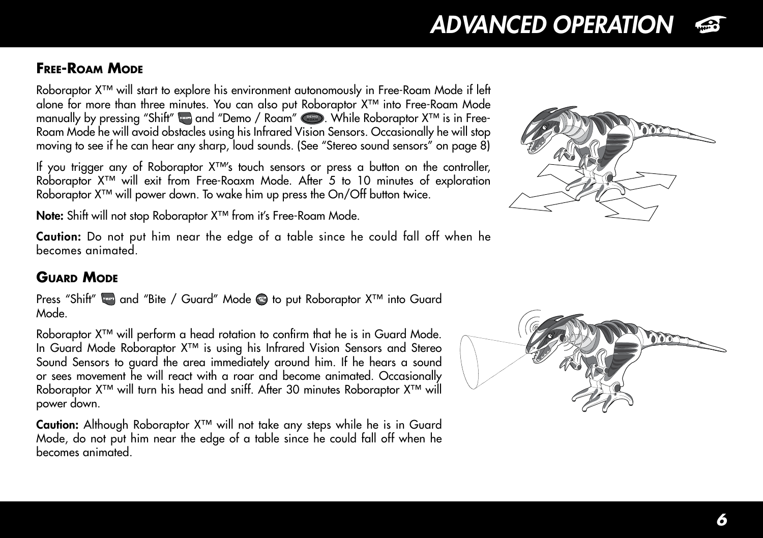# *6*

## *ADVANCED OPERATION*

## **Free-Roam Mode**

Roboraptor X™ will start to explore his environment autonomously in Free-Roam Mode if left alone for more than three minutes. You can also put Roboraptor X™ into Free-Roam Mode manually by pressing "Shitt" ‱ and "Demo / Roam" . While Roboraptor X™ is in Free-Roam Mode he will avoid obstacles using his Infrared Vision Sensors. Occasionally he will stop moving to see if he can hear any sharp, loud sounds. (See "Stereo sound sensors" on page 8)

If you trigger any of Roboraptor X™'s touch sensors or press a button on the controller, Roboraptor X™ will exit from Free-Roaxm Mode. After 5 to 10 minutes of exploration Roboraptor X™ will power down. To wake him up press the On/Off button twice.

Note: Shift will not stop Roboraptor X<sup>™</sup> from it's Free-Roam Mode.

Caution: Do not put him near the edge of a table since he could fall off when he becomes animated.

## **Guard Mode**

Press "Shift" and "Bite / Guard" Mode **is** to put Roboraptor X<sup>™</sup> into Guard Mode.

Roboraptor X™ will perform a head rotation to confirm that he is in Guard Mode. In Guard Mode Roboraptor X™ is using his Infrared Vision Sensors and Stereo Sound Sensors to guard the area immediately around him. If he hears a sound or sees movement he will react with a roar and become animated. Occasionally Roboraptor X<sup>™</sup> will turn his head and sniff. After 30 minutes Roboraptor X<sup>™</sup> will power down.

Caution: Although Roboraptor X™ will not take any steps while he is in Guard Mode, do not put him near the edge of a table since he could fall off when he becomes animated.





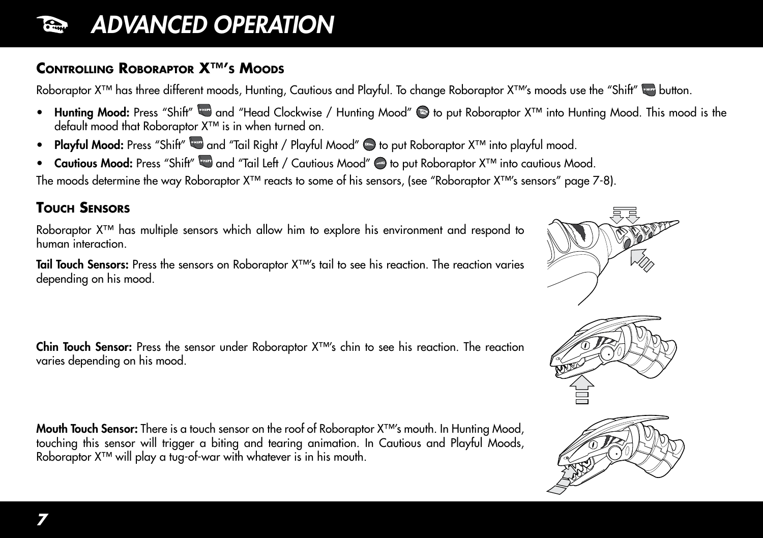## *ADVANCED OPERATION*

### **Controlling Roboraptor X™'s Moods**

Roboraptor X™ has three different moods, Hunting, Cautious and Playful. To change Roboraptor X™'s moods use the "Shift" whutton.

- Hunting Mood: Press "Shift" wa and "Head Clockwise / Hunting Mood" is to put Roboraptor X™ into Hunting Mood. This mood is the default mood that Roboraptor X™ is in when turned on.
- Playful Mood: Press "Shift" and "Tail Right / Playful Mood" is to put Roboraptor X™ into playful mood.
- Cautious Mood: Press "Shift" and "Tail Left / Cautious Mood" → to put Roboraptor X™ into cautious Mood.

The moods determine the way Roboraptor X™ reacts to some of his sensors, (see "Roboraptor X™'s sensors" page 7-8).

#### **Touch Sensors**

Roboraptor X™ has multiple sensors which allow him to explore his environment and respond to human interaction.

Tail Touch Sensors: Press the sensors on Roboraptor X™'s tail to see his reaction. The reaction varies depending on his mood.

Chin Touch Sensor: Press the sensor under Roboraptor X™'s chin to see his reaction. The reaction varies depending on his mood.

Mouth Touch Sensor: There is a touch sensor on the roof of Roboraptor X™'s mouth. In Hunting Mood, touching this sensor will trigger a biting and tearing animation. In Cautious and Playful Moods, Roboraptor X™ will play a tug-of-war with whatever is in his mouth.





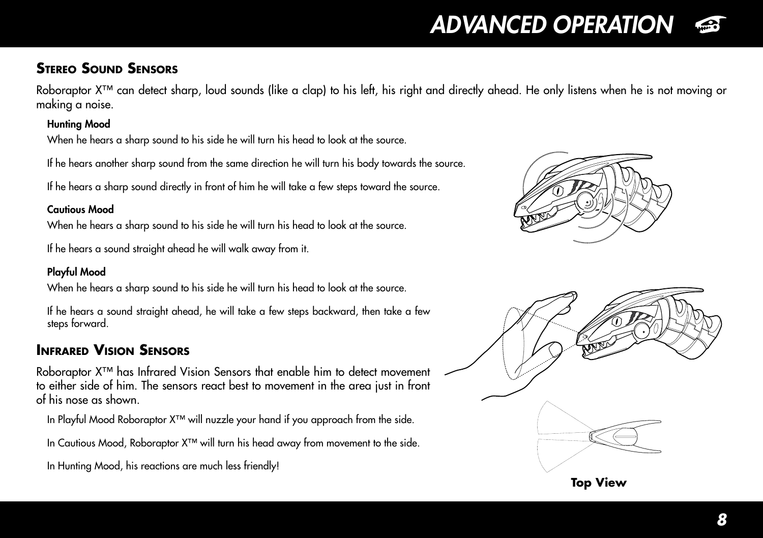## *ADVANCED OPERATION*

### **Stereo Sound Sensors**

Roboraptor X™ can detect sharp, loud sounds (like a clap) to his left, his right and directly ahead. He only listens when he is not moving or making a noise.

#### Hunting Mood

When he hears a sharp sound to his side he will turn his head to look at the source.

If he hears another sharp sound from the same direction he will turn his body towards the source.

If he hears a sharp sound directly in front of him he will take a few steps toward the source.

#### Cautious Mood

When he hears a sharp sound to his side he will turn his head to look at the source.

If he hears a sound straight ahead he will walk away from it.

#### Playful Mood

When he hears a sharp sound to his side he will turn his head to look at the source.

If he hears a sound straight ahead, he will take a few steps backward, then take a few steps forward.

## **Infrared Vision Sensors**

Roboraptor X™ has Infrared Vision Sensors that enable him to detect movement to either side of him. The sensors react best to movement in the area just in front of his nose as shown.

In Playful Mood Roboraptor X™ will nuzzle your hand if you approach from the side.

In Cautious Mood, Roboraptor X™ will turn his head away from movement to the side.

In Hunting Mood, his reactions are much less friendly!



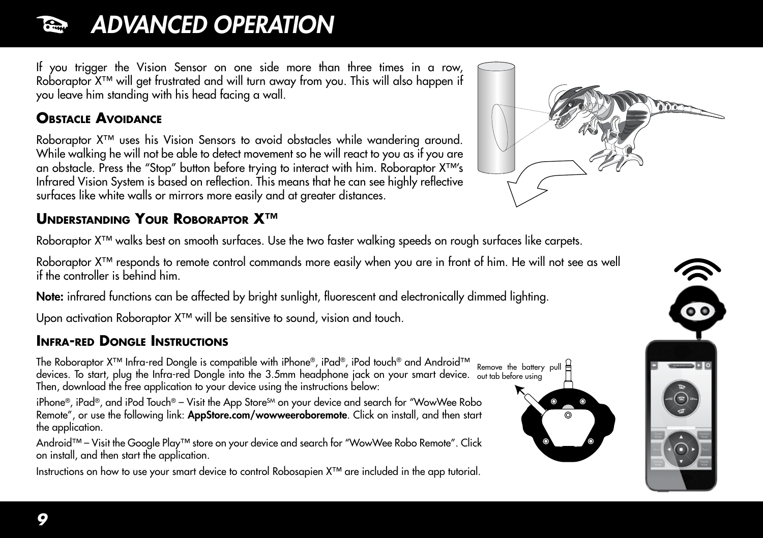#### *ADVANCED OPERATION* **Report**

If you trigger the Vision Sensor on one side more than three times in a row, Roboraptor X™ will get frustrated and will turn away from you. This will also happen if you leave him standing with his head facing a wall.

### **Obstacle Avoidance**

Roboraptor X™ uses his Vision Sensors to avoid obstacles while wandering around. While walking he will not be able to detect movement so he will react to you as if you are an obstacle. Press the "Stop" button before trying to interact with him. Roboraptor X™'s Infrared Vision System is based on reflection. This means that he can see highly reflective surfaces like white walls or mirrors more easily and at greater distances.

### **Understanding Your Roboraptor X™**

Roboraptor X™ walks best on smooth surfaces. Use the two faster walking speeds on rough surfaces like carpets.

Roboraptor X™ responds to remote control commands more easily when you are in front of him. He will not see as well if the controller is behind him.

Note: infrared functions can be affected by bright sunlight, fluorescent and electronically dimmed lighting.

Upon activation Roboraptor X™ will be sensitive to sound, vision and touch.

### **Infra-red Dongle Instructions**

The Roboraptor X™ Infra-red Dongle is compatible with iPhone®, iPad®, iPod touch® and Android™ Remove the battery pull devices. To start, plug the Infra-red Dongle into the 3.5mm headphone jack on your smart device. out tab before usingThen, download the free application to your device using the instructions below:

iPhone®, iPad®, and iPod Touch® – Visit the App Store $^{\text{SM}}$  on your device and search for "WowWee Robo Remote", or use the following link: AppStore.com/wowweeroboremote. Click on install, and then start the application.

Android™ – Visit the Google Play™ store on your device and search for "WowWee Robo Remote". Click on install, and then start the application.

Instructions on how to use your smart device to control Robosapien X™ are included in the app tutorial.



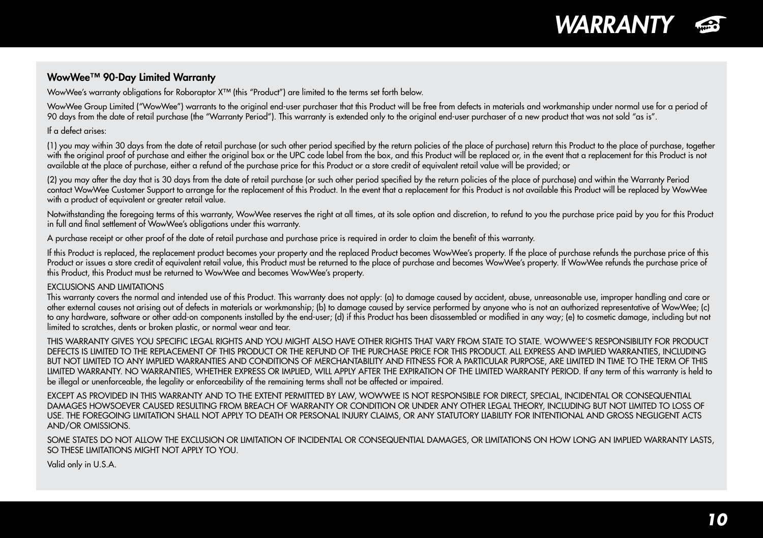

#### WowWee™ 90-Day Limited Warranty

WowWee's warranty obligations for Roboraptor X™ (this "Product") are limited to the terms set forth below.

WowWee Group Limited ("WowWee") warrants to the original end-user purchaser that this Product will be free from defects in materials and workmanship under normal use for a period of 90 days from the date of retail purchase (the "Warranty Period"). This warranty is extended only to the original end-user purchaser of a new product that was not sold "as is".

If a defect arises:

(1) you may within 30 days from the date of retail purchase (or such other period specified by the return policies of the place of purchase) return this Product to the place of purchase, together with the original proof of purchase and either the original box or the UPC code label from the box, and this Product will be replaced or, in the event that a replacement for this Product is not available at the place of purchase, either a refund of the purchase price for this Product or a store credit of equivalent retail value will be provided; or

(2) you may after the day that is 30 days from the date of retail purchase (or such other period specified by the return policies of the place of purchase) and within the Warranty Period contact WowWee Customer Support to arrange for the replacement of this Product. In the event that a replacement for this Product is not available this Product will be replaced by WowWee with a product of equivalent or greater retail value.

Notwithstanding the foregoing terms of this warranty, WowWee reserves the right at all times, at its sole option and discretion, to refund to you the purchase price paid by you for this Product in full and final settlement of WowWee's obligations under this warranty.

A purchase receipt or other proof of the date of retail purchase and purchase price is required in order to claim the benefit of this warranty.

If this Product is replaced, the replacement product becomes your property and the replaced Product becomes WowWee's property. If the place of purchase refunds the purchase price of this Product or issues a store credit of equivalent retail value, this Product must be returned to the place of purchase and becomes WowWee's property. If WowWee refunds the purchase price of this Product, this Product must be returned to WowWee and becomes WowWee's property.

#### EXCLUSIONS AND LIMITATIONS

This warranty covers the normal and intended use of this Product. This warranty does not apply: (a) to damage caused by accident, abuse, unreasonable use, improper handling and care or other external causes not arising out of defects in materials or workmanship; (b) to damage caused by service performed by anyone who is not an authorized representative of WowWee; (c) to any hardware, software or other add-on components installed by the end-user; (d) if this Product has been disassembled or modified in any way; (e) to cosmetic damage, including but not limited to scratches, dents or broken plastic, or normal wear and tear.

THIS WARRANTY GIVES YOU SPECIFIC LEGAL RIGHTS AND YOU MIGHT ALSO HAVE OTHER RIGHTS THAT VARY FROM STATE TO STATE. WOWWEE'S RESPONSIBILITY FOR PRODUCT DEFECTS IS LIMITED TO THE REPLACEMENT OF THIS PRODUCT OR THE REFUND OF THE PURCHASE PRICE FOR THIS PRODUCT. ALL EXPRESS AND IMPLIED WARRANTIES, INCLUDING BUT NOT LIMITED TO ANY IMPLIED WARRANTIES AND CONDITIONS OF MERCHANTABILITY AND FITNESS FOR A PARTICULAR PURPOSE, ARE LIMITED IN TIME TO THE TERM OF THIS LIMITED WARRANTY. NO WARRANTIES, WHETHER EXPRESS OR IMPLIED, WILL APPLY AFTER THE EXPIRATION OF THE LIMITED WARRANTY PERIOD. If any term of this warranty is held to be illegal or unenforceable, the legality or enforceability of the remaining terms shall not be affected or impaired.

EXCEPT AS PROVIDED IN THIS WARRANTY AND TO THE EXTENT PERMITTED BY LAW, WOWWEE IS NOT RESPONSIBLE FOR DIRECT, SPECIAL, INCIDENTAL OR CONSEQUENTIAL DAMAGES HOWSOEVER CAUSED RESULTING FROM BREACH OF WARRANTY OR CONDITION OR UNDER ANY OTHER LEGAL THEORY, INCLUDING BUT NOT LIMITED TO LOSS OF USE. THE FOREGOING LIMITATION SHALL NOT APPLY TO DEATH OR PERSONAL INJURY CLAIMS, OR ANY STATUTORY LIABILITY FOR INTENTIONAL AND GROSS NEGLIGENT ACTS AND/OR OMISSIONS.

SOME STATES DO NOT ALLOW THE EXCLUSION OR LIMITATION OF INCIDENTAL OR CONSEQUENTIAL DAMAGES, OR LIMITATIONS ON HOW LONG AN IMPLIED WARRANTY LASTS, SO THESE LIMITATIONS MIGHT NOT APPLY TO YOU.

Valid only in U.S.A.